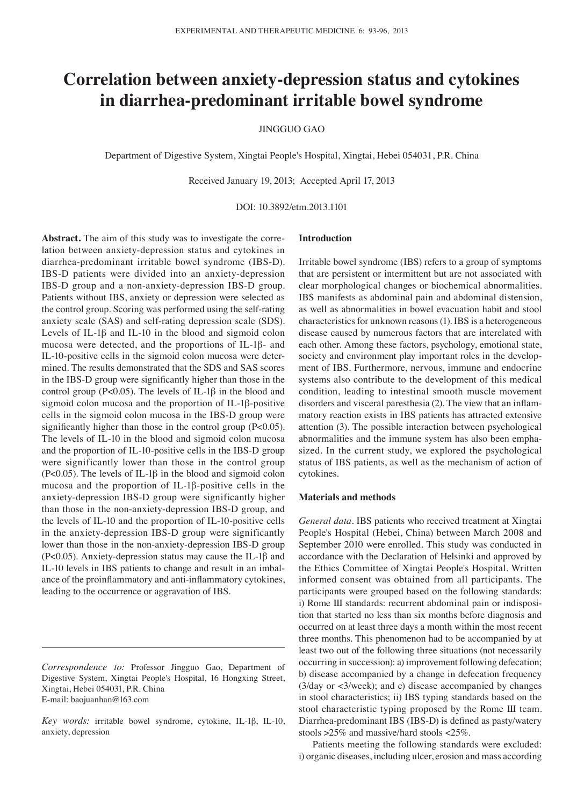# **Correlation between anxiety-depression status and cytokines in diarrhea-predominant irritable bowel syndrome**

JINGGUO GAO

Department of Digestive System, Xingtai People's Hospital, Xingtai, Hebei 054031, P.R. China

Received January 19, 2013; Accepted April 17, 2013

DOI: 10.3892/etm.2013.1101

**Abstract.** The aim of this study was to investigate the correlation between anxiety-depression status and cytokines in diarrhea-predominant irritable bowel syndrome (IBS-D). IBS-D patients were divided into an anxiety-depression IBS-D group and a non-anxiety-depression IBS-D group. Patients without IBS, anxiety or depression were selected as the control group. Scoring was performed using the self-rating anxiety scale (SAS) and self-rating depression scale (SDS). Levels of IL-1β and IL-10 in the blood and sigmoid colon mucosa were detected, and the proportions of IL-1β- and IL-10-positive cells in the sigmoid colon mucosa were determined. The results demonstrated that the SDS and SAS scores in the IBS-D group were significantly higher than those in the control group (P<0.05). The levels of IL-1 $\beta$  in the blood and sigmoid colon mucosa and the proportion of IL-1β-positive cells in the sigmoid colon mucosa in the IBS-D group were significantly higher than those in the control group (P<0.05). The levels of IL-10 in the blood and sigmoid colon mucosa and the proportion of IL-10-positive cells in the IBS-D group were significantly lower than those in the control group (P<0.05). The levels of IL-1 $\beta$  in the blood and sigmoid colon mucosa and the proportion of IL-1β-positive cells in the anxiety-depression IBS-D group were significantly higher than those in the non-anxiety-depression IBS-D group, and the levels of IL-10 and the proportion of IL-10-positive cells in the anxiety-depression IBS-D group were significantly lower than those in the non-anxiety-depression IBS-D group (P<0.05). Anxiety-depression status may cause the IL-1β and IL-10 levels in IBS patients to change and result in an imbalance of the proinflammatory and anti-inflammatory cytokines, leading to the occurrence or aggravation of IBS.

## **Introduction**

Irritable bowel syndrome (IBS) refers to a group of symptoms that are persistent or intermittent but are not associated with clear morphological changes or biochemical abnormalities. IBS manifests as abdominal pain and abdominal distension, as well as abnormalities in bowel evacuation habit and stool characteristics for unknown reasons(1). IBS is a heterogeneous disease caused by numerous factors that are interelated with each other. Among these factors, psychology, emotional state, society and environment play important roles in the development of IBS. Furthermore, nervous, immune and endocrine systems also contribute to the development of this medical condition, leading to intestinal smooth muscle movement disorders and visceral paresthesia (2). The view that an inflammatory reaction exists in IBS patients has attracted extensive attention (3). The possible interaction between psychological abnormalities and the immune system has also been emphasized. In the current study, we explored the psychological status of IBS patients, as well as the mechanism of action of cytokines.

# **Materials and methods**

*General data.* IBS patients who received treatment at Xingtai People's Hospital (Hebei, China) between March 2008 and September 2010 were enrolled. This study was conducted in accordance with the Declaration of Helsinki and approved by the Ethics Committee of Xingtai People's Hospital. Written informed consent was obtained from all participants. The participants were grouped based on the following standards: i) Rome Ш standards: recurrent abdominal pain or indisposition that started no less than six months before diagnosis and occurred on at least three days a month within the most recent three months. This phenomenon had to be accompanied by at least two out of the following three situations (not necessarily occurring in succession): a) improvement following defecation; b) disease accompanied by a change in defecation frequency (3/day or <3/week); and c) disease accompanied by changes in stool characteristics; ii) IBS typing standards based on the stool characteristic typing proposed by the Rome Ш team. Diarrhea-predominant IBS (IBS-D) is defined as pasty/watery stools >25% and massive/hard stools <25%.

Patients meeting the following standards were excluded: i) organic diseases, including ulcer, erosion and mass according

*Correspondence to:* Professor Jingguo Gao, Department of Digestive System, Xingtai People's Hospital, 16 Hongxing Street, Xingtai, Hebei 054031, P.R. China E-mail: baojuanhan@163.com

*Key words:* irritable bowel syndrome, cytokine, IL-1β, IL-10, anxiety, depression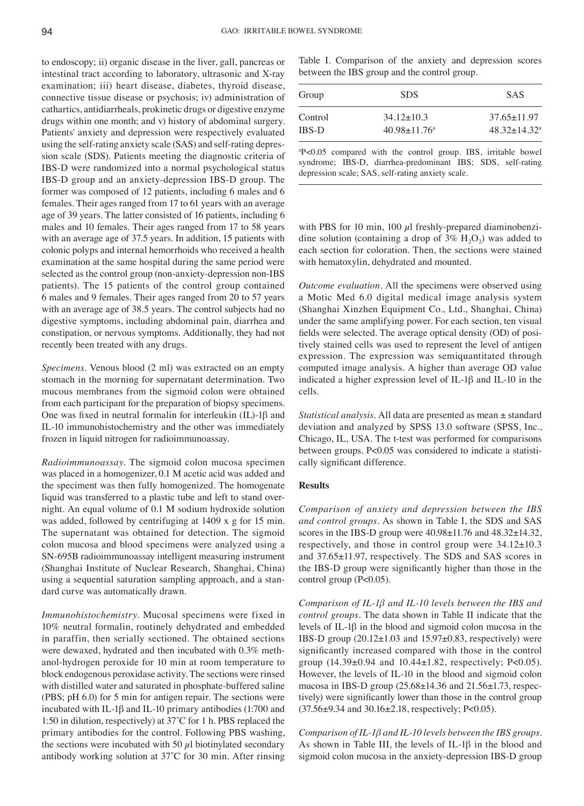to endoscopy; ii) organic disease in the liver, gall, pancreas or intestinal tract according to laboratory, ultrasonic and X-ray examination; iii) heart disease, diabetes, thyroid disease, connective tissue disease or psychosis; iv) administration of cathartics, antidiarrheals, prokinetic drugs or digestive enzyme drugs within one month; and v) history of abdominal surgery. Patients' anxiety and depression were respectively evaluated using the self-rating anxiety scale (SAS) and self-rating depression scale (SDS). Patients meeting the diagnostic criteria of IBS-D were randomized into a normal psychological status IBS-D group and an anxiety-depression IBS-D group. The former was composed of 12 patients, including 6 males and 6 females. Their ages ranged from 17 to 61 years with an average age of 39 years. The latter consisted of 16 patients, including 6 males and 10 females. Their ages ranged from 17 to 58 years with an average age of 37.5 years. In addition, 15 patients with colonic polyps and internal hemorrhoids who received a health examination at the same hospital during the same period were selected as the control group (non-anxiety-depression non-IBS patients). The 15 patients of the control group contained 6 males and 9 females. Their ages ranged from 20 to 57 years with an average age of 38.5 years. The control subjects had no digestive symptoms, including abdominal pain, diarrhea and constipation, or nervous symptoms. Additionally, they had not recently been treated with any drugs.

*Specimens.* Venous blood (2 ml) was extracted on an empty stomach in the morning for supernatant determination. Two mucous membranes from the sigmoid colon were obtained from each participant for the preparation of biopsy specimens. One was fixed in neutral formalin for interleukin (IL)-1β and IL-10 immunohistochemistry and the other was immediately frozen in liquid nitrogen for radioimmunoassay.

*Radioimmunoassay.* The sigmoid colon mucosa specimen was placed in a homogenizer, 0.1 M acetic acid was added and the speciment was then fully homogenized. The homogenate liquid was transferred to a plastic tube and left to stand overnight. An equal volume of 0.1 M sodium hydroxide solution was added, followed by centrifuging at 1409 x g for 15 min. The supernatant was obtained for detection. The sigmoid colon mucosa and blood specimens were analyzed using a SN-695B radioimmunoassay intelligent measuring instrument (Shanghai Institute of Nuclear Research, Shanghai, China) using a sequential saturation sampling approach, and a standard curve was automatically drawn.

*Immunohistochemistry.* Mucosal specimens were fixed in 10% neutral formalin, routinely dehydrated and embedded in paraffin, then serially sectioned. The obtained sections were dewaxed, hydrated and then incubated with 0.3% methanol-hydrogen peroxide for 10 min at room temperature to block endogenous peroxidase activity. The sections were rinsed with distilled water and saturated in phosphate-buffered saline (PBS; pH 6.0) for 5 min for antigen repair. The sections were incubated with IL-1β and IL-10 primary antibodies (1:700 and 1:50 in dilution, respectively) at 37˚C for 1 h. PBS replaced the primary antibodies for the control. Following PBS washing, the sections were incubated with 50  $\mu$ l biotinylated secondary antibody working solution at 37˚C for 30 min. After rinsing Table I. Comparison of the anxiety and depression scores between the IBS group and the control group.

| Group        | <b>SDS</b>                     | <b>SAS</b>       |
|--------------|--------------------------------|------------------|
| Control      | $34.12 + 10.3$                 | $37.65 + 11.97$  |
| <b>IBS-D</b> | $40.98 \pm 11.76$ <sup>a</sup> | $48.32 + 14.32a$ |

a P<0.05 compared with the control group. IBS, irritable bowel syndrome; IBS-D, diarrhea-predominant IBS; SDS, self-rating depression scale; SAS, self-rating anxiety scale.

with PBS for 10 min, 100  $\mu$ l freshly-prepared diaminobenzidine solution (containing a drop of  $3\%$  H<sub>2</sub>O<sub>2</sub>) was added to each section for coloration. Then, the sections were stained with hematoxylin, dehydrated and mounted.

*Outcome evaluation.* All the specimens were observed using a Motic Med 6.0 digital medical image analysis system (Shanghai Xinzhen Equipment Co., Ltd., Shanghai, China) under the same amplifying power. For each section, ten visual fields were selected. The average optical density (OD) of positively stained cells was used to represent the level of antigen expression. The expression was semiquantitated through computed image analysis. A higher than average OD value indicated a higher expression level of IL-1β and IL-10 in the cells.

*Statistical analysis.* All data are presented as mean ± standard deviation and analyzed by SPSS 13.0 software (SPSS, Inc., Chicago, IL, USA. The t-test was performed for comparisons between groups. P<0.05 was considered to indicate a statistically significant difference.

#### **Results**

*Comparison of anxiety and depression between the IBS and control groups.* As shown in Table I, the SDS and SAS scores in the IBS-D group were  $40.98\pm11.76$  and  $48.32\pm14.32$ , respectively, and those in control group were  $34.12 \pm 10.3$ and 37.65±11.97, respectively. The SDS and SAS scores in the IBS-D group were significantly higher than those in the control group  $(P<0.05)$ .

*Comparison of IL-1β and IL-10 levels between the IBS and control groups.* The data shown in Table II indicate that the levels of IL-1β in the blood and sigmoid colon mucosa in the IBS-D group  $(20.12 \pm 1.03$  and  $15.97 \pm 0.83$ , respectively) were significantly increased compared with those in the control group (14.39±0.94 and 10.44±1.82, respectively; P<0.05). However, the levels of IL-10 in the blood and sigmoid colon mucosa in IBS-D group (25.68±14.36 and 21.56±1.73, respectively) were significantly lower than those in the control group (37.56±9.34 and 30.16±2.18, respectively; P<0.05).

*Comparison of IL-1β and IL-10 levels between the IBS groups.*  As shown in Table III, the levels of IL-1β in the blood and sigmoid colon mucosa in the anxiety-depression IBS-D group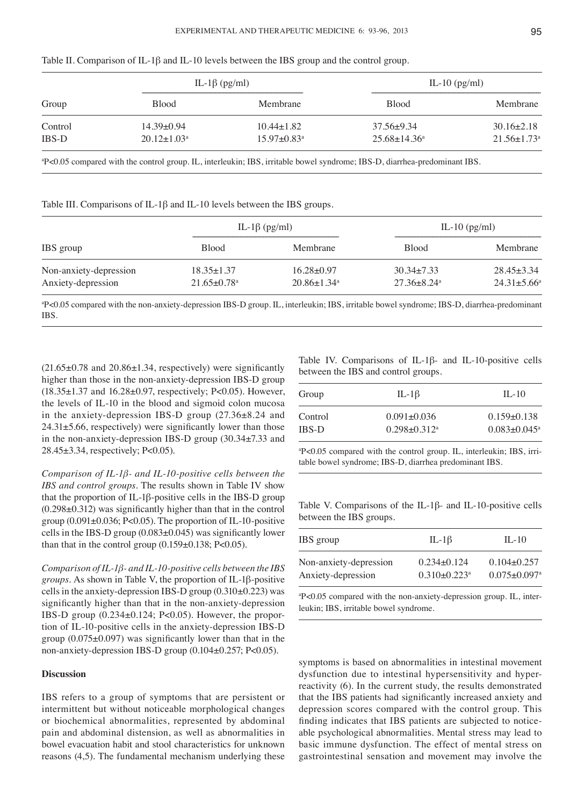|              | IL-1 $\beta$ (pg/ml)     |                               | IL-10 $(pg/ml)$     |                               |
|--------------|--------------------------|-------------------------------|---------------------|-------------------------------|
| Group        | <b>Blood</b>             | Membrane                      | <b>Blood</b>        | Membrane                      |
| Control      | $14.39 \pm 0.94$         | $10.44 \pm 1.82$              | $37.56 \pm 9.34$    | $30.16 \pm 2.18$              |
| <b>IBS-D</b> | $20.12 \pm 1.03^{\circ}$ | $15.97 \pm 0.83$ <sup>a</sup> | $25.68 \pm 14.36^a$ | $21.56 \pm 1.73$ <sup>a</sup> |
|              |                          |                               |                     |                               |

Table II. Comparison of IL-1β and IL-10 levels between the IBS group and the control group.

a P<0.05 compared with the control group. IL, interleukin; IBS, irritable bowel syndrome; IBS-D, diarrhea-predominant IBS.

Table III. Comparisons of IL-1β and IL-10 levels between the IBS groups.

| IBS group              | IL-1 $\beta$ (pg/ml)          |                               | IL-10 $(pg/ml)$               |                          |
|------------------------|-------------------------------|-------------------------------|-------------------------------|--------------------------|
|                        | <b>Blood</b>                  | Membrane                      | <b>Blood</b>                  | Membrane                 |
| Non-anxiety-depression | $18.35 \pm 1.37$              | $16.28 \pm 0.97$              | $30.34 \pm 7.33$              | $28.45 \pm 3.34$         |
| Anxiety-depression     | $21.65 \pm 0.78$ <sup>a</sup> | $20.86 \pm 1.34$ <sup>a</sup> | $27.36 \pm 8.24$ <sup>a</sup> | $24.31 \pm 5.66^{\circ}$ |

a P<0.05 compared with the non-anxiety-depression IBS-D group. IL, interleukin; IBS, irritable bowel syndrome; IBS-D, diarrhea-predominant IBS.

 $(21.65\pm0.78$  and  $20.86\pm1.34$ , respectively) were significantly higher than those in the non-anxiety-depression IBS-D group (18.35±1.37 and 16.28±0.97, respectively; P<0.05). However, the levels of IL-10 in the blood and sigmoid colon mucosa in the anxiety-depression IBS-D group (27.36±8.24 and  $24.31\pm5.66$ , respectively) were significantly lower than those in the non-anxiety-depression IBS-D group (30.34±7.33 and 28.45±3.34, respectively; P<0.05).

*Comparison of IL-1β- and IL-10-positive cells between the IBS and control groups.* The results shown in Table IV show that the proportion of IL-1β-positive cells in the IBS-D group (0.298±0.312) was significantly higher than that in the control group  $(0.091\pm0.036; P<0.05)$ . The proportion of IL-10-positive cells in the IBS-D group  $(0.083\pm0.045)$  was significantly lower than that in the control group  $(0.159 \pm 0.138; P < 0.05)$ .

*Comparison of IL-1β- and IL-10-positive cells between the IBS groups.* As shown in Table V, the proportion of IL-1β-positive cells in the anxiety-depression IBS-D group (0.310±0.223) was significantly higher than that in the non-anxiety-depression IBS-D group (0.234±0.124; P<0.05). However, the proportion of IL-10-positive cells in the anxiety-depression IBS-D group  $(0.075\pm0.097)$  was significantly lower than that in the non-anxiety-depression IBS-D group (0.104±0.257; P<0.05).

## **Discussion**

IBS refers to a group of symptoms that are persistent or intermittent but without noticeable morphological changes or biochemical abnormalities, represented by abdominal pain and abdominal distension, as well as abnormalities in bowel evacuation habit and stool characteristics for unknown reasons (4,5). The fundamental mechanism underlying these Table IV. Comparisons of IL-1β- and IL-10-positive cells between the IBS and control groups.

| IL-1 $\beta$                 | $II - 10$                      |
|------------------------------|--------------------------------|
| $0.091 + 0.036$              | $0.159 \pm 0.138$              |
| $0.298 + 0.312$ <sup>a</sup> | $0.083 \pm 0.045$ <sup>a</sup> |
|                              |                                |

a P<0.05 compared with the control group. IL, interleukin; IBS, irritable bowel syndrome; IBS-D, diarrhea predominant IBS.

Table V. Comparisons of the IL-1β- and IL-10-positive cells between the IBS groups.

| IBS group              | IL-1 $\beta$                   | $II - 10$                      |
|------------------------|--------------------------------|--------------------------------|
| Non-anxiety-depression | $0.234\pm0.124$                | $0.104 \pm 0.257$              |
| Anxiety-depression     | $0.310 \pm 0.223$ <sup>a</sup> | $0.075 \pm 0.097$ <sup>a</sup> |

a P<0.05 compared with the non-anxiety-depression group. IL, interleukin; IBS, irritable bowel syndrome.

symptoms is based on abnormalities in intestinal movement dysfunction due to intestinal hypersensitivity and hyperreactivity (6). In the current study, the results demonstrated that the IBS patients had significantly increased anxiety and depression scores compared with the control group. This finding indicates that IBS patients are subjected to noticeable psychological abnormalities. Mental stress may lead to basic immune dysfunction. The effect of mental stress on gastrointestinal sensation and movement may involve the